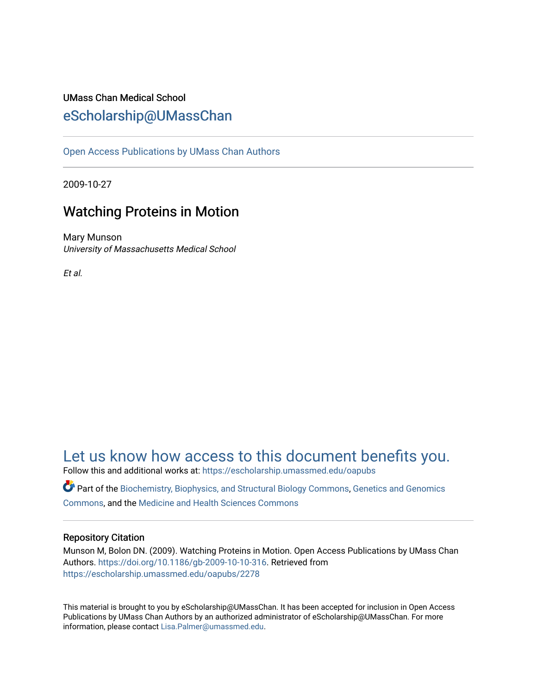## UMass Chan Medical School [eScholarship@UMassChan](https://escholarship.umassmed.edu/)

[Open Access Publications by UMass Chan Authors](https://escholarship.umassmed.edu/oapubs) 

2009-10-27

## Watching Proteins in Motion

Mary Munson University of Massachusetts Medical School

Et al.

# [Let us know how access to this document benefits you.](https://arcsapps.umassmed.edu/redcap/surveys/?s=XWRHNF9EJE)

Follow this and additional works at: [https://escholarship.umassmed.edu/oapubs](https://escholarship.umassmed.edu/oapubs?utm_source=escholarship.umassmed.edu%2Foapubs%2F2278&utm_medium=PDF&utm_campaign=PDFCoverPages) 

 $\bullet$  Part of the [Biochemistry, Biophysics, and Structural Biology Commons](http://network.bepress.com/hgg/discipline/1?utm_source=escholarship.umassmed.edu%2Foapubs%2F2278&utm_medium=PDF&utm_campaign=PDFCoverPages), Genetics and Genomics [Commons](http://network.bepress.com/hgg/discipline/27?utm_source=escholarship.umassmed.edu%2Foapubs%2F2278&utm_medium=PDF&utm_campaign=PDFCoverPages), and the [Medicine and Health Sciences Commons](http://network.bepress.com/hgg/discipline/648?utm_source=escholarship.umassmed.edu%2Foapubs%2F2278&utm_medium=PDF&utm_campaign=PDFCoverPages) 

### Repository Citation

Munson M, Bolon DN. (2009). Watching Proteins in Motion. Open Access Publications by UMass Chan Authors.<https://doi.org/10.1186/gb-2009-10-10-316>. Retrieved from [https://escholarship.umassmed.edu/oapubs/2278](https://escholarship.umassmed.edu/oapubs/2278?utm_source=escholarship.umassmed.edu%2Foapubs%2F2278&utm_medium=PDF&utm_campaign=PDFCoverPages)

This material is brought to you by eScholarship@UMassChan. It has been accepted for inclusion in Open Access Publications by UMass Chan Authors by an authorized administrator of eScholarship@UMassChan. For more information, please contact [Lisa.Palmer@umassmed.edu.](mailto:Lisa.Palmer@umassmed.edu)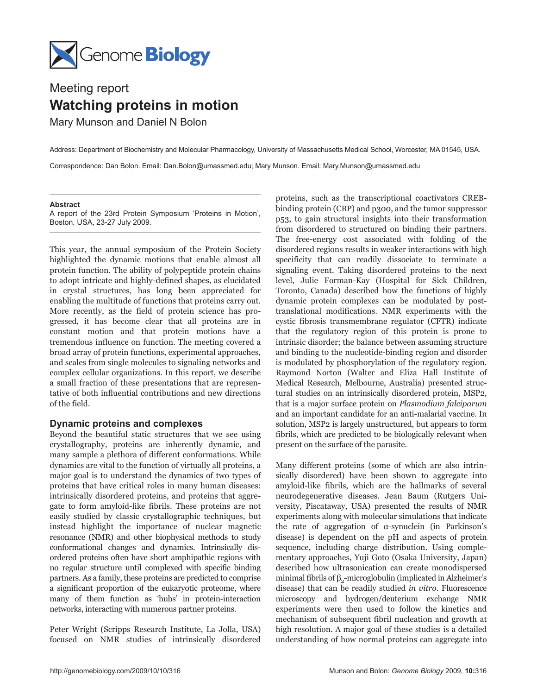

# Meeting report **Watching proteins in motion**

Mary Munson and Daniel N Bolon

Address: Department of Biochemistry and Molecular Pharmacology, University of Massachusetts Medical School, Worcester, MA 01545, USA.

Correspondence: Dan Bolon. Email: Dan.Bolon@umassmed.edu; Mary Munson. Email: Mary.Munson@umassmed.edu

#### **Abstract**

A report of the 23rd Protein Symposium 'Proteins in Motion', Boston, USA, 23-27 July 2009.

This year, the annual symposium of the Protein Society highlighted the dynamic motions that enable almost all protein function. The ability of polypeptide protein chains to adopt intricate and highly-defined shapes, as elucidated in crystal structures, has long been appreciated for enabling the multitude of functions that proteins carry out. More recently, as the field of protein science has progressed, it has become clear that all proteins are in constant motion and that protein motions have a tremendous influence on function. The meeting covered a broad array of protein functions, experimental approaches, and scales from single molecules to signaling networks and complex cellular organizations. In this report, we describe a small fraction of these presentations that are representative of both influential contributions and new directions of the field.

#### **Dynamic proteins and complexes**

Beyond the beautiful static structures that we see using crystallography, proteins are inherently dynamic, and many sample a plethora of different conformations. While dynamics are vital to the function of virtually all proteins, a major goal is to understand the dynamics of two types of proteins that have critical roles in many human diseases: intrinsically disordered proteins, and proteins that aggregate to form amyloid-like fibrils. These proteins are not easily studied by classic crystallographic techniques, but instead highlight the importance of nuclear magnetic resonance (NMR) and other biophysical methods to study conformational changes and dynamics. Intrinsically disordered proteins often have short amphipathic regions with no regular structure until complexed with specific binding partners. As a family, these proteins are predicted to comprise a significant proportion of the eukaryotic proteome, where many of them function as 'hubs' in protein-interaction networks, interacting with numerous partner proteins.

Peter Wright (Scripps Research Institute, La Jolla, USA) focused on NMR studies of intrinsically disordered proteins, such as the transcriptional coactivators CREBbinding protein (CBP) and p300, and the tumor suppressor p53, to gain structural insights into their transformation from disordered to structured on binding their partners. The free-energy cost associated with folding of the disordered regions results in weaker interactions with high specificity that can readily dissociate to terminate a signaling event. Taking disordered proteins to the next level, Julie Forman-Kay (Hospital for Sick Children, Toronto, Canada) described how the functions of highly dynamic protein complexes can be modulated by posttranslational modifications. NMR experiments with the cystic fibrosis transmembrane regulator (CFTR) indicate that the regulatory region of this protein is prone to intrinsic disorder; the balance between assuming structure and binding to the nucleotide-binding region and disorder is modulated by phosphorylation of the regulatory region. Raymond Norton (Walter and Eliza Hall Institute of Medical Research, Melbourne, Australia) presented structural studies on an intrinsically disordered protein, MSP2, that is a major surface protein on *Plasmodium falciparum* and an important candidate for an anti-malarial vaccine. In solution, MSP2 is largely unstructured, but appears to form fibrils, which are predicted to be biologically relevant when present on the surface of the parasite.

Many different proteins (some of which are also intrinsically disordered) have been shown to aggregate into amyloid-like fibrils, which are the hallmarks of several neurodegenerative diseases. Jean Baum (Rutgers University, Piscataway, USA) presented the results of NMR experiments along with molecular simulations that indicate the rate of aggregation of α-synuclein (in Parkinson's disease) is dependent on the pH and aspects of protein sequence, including charge distribution. Using complementary approaches, Yuji Goto (Osaka University, Japan) described how ultrasonication can create monodispersed minimal fibrils of  $\beta_2$ -microglobulin (implicated in Alzheimer's disease) that can be readily studied *in vitro*. Fluorescence microscopy and hydrogen/deuterium exchange NMR experiments were then used to follow the kinetics and mechanism of subsequent fibril nucleation and growth at high resolution. A major goal of these studies is a detailed understanding of how normal proteins can aggregate into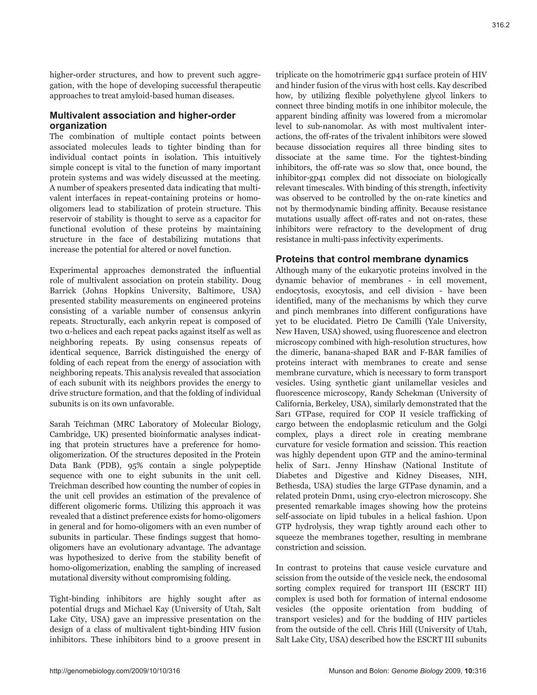higher-order structures, and how to prevent such aggregation, with the hope of developing successful therapeutic approaches to treat amyloid-based human diseases.

### **Multivalent association and higher-order organization**

The combination of multiple contact points between associated molecules leads to tighter binding than for individual contact points in isolation. This intuitively simple concept is vital to the function of many important protein systems and was widely discussed at the meeting. A number of speakers presented data indicating that multivalent interfaces in repeat-containing proteins or homooligomers lead to stabilization of protein structure. This reservoir of stability is thought to serve as a capacitor for functional evolution of these proteins by maintaining structure in the face of destabilizing mutations that increase the potential for altered or novel function.

Experimental approaches demonstrated the influential role of multivalent association on protein stability. Doug Barrick (Johns Hopkins University, Baltimore, USA) presented stability measurements on engineered proteins consisting of a variable number of consensus ankyrin repeats. Structurally, each ankyrin repeat is composed of two α-helices and each repeat packs against itself as well as neighboring repeats. By using consensus repeats of identical sequence, Barrick distinguished the energy of folding of each repeat from the energy of association with neighboring repeats. This analysis revealed that association of each subunit with its neighbors provides the energy to drive structure formation, and that the folding of individual subunits is on its own unfavorable.

Sarah Teichman (MRC Laboratory of Molecular Biology, Cambridge, UK) presented bioinformatic analyses indicating that protein structures have a preference for homooligomerization. Of the structures deposited in the Protein Data Bank (PDB), 95% contain a single polypeptide sequence with one to eight subunits in the unit cell. Treichman described how counting the number of copies in the unit cell provides an estimation of the prevalence of different oligomeric forms. Utilizing this approach it was revealed that a distinct preference exists for homo-oligomers in general and for homo-oligomers with an even number of subunits in particular. These findings suggest that homooligomers have an evolutionary advantage. The advantage was hypothesized to derive from the stability benefit of homo-oligomerization, enabling the sampling of increased mutational diversity without compromising folding.

Tight-binding inhibitors are highly sought after as potential drugs and Michael Kay (University of Utah, Salt Lake City, USA) gave an impressive presentation on the design of a class of multivalent tight-binding HIV fusion inhibitors. These inhibitors bind to a groove present in triplicate on the homotrimeric gp41 surface protein of HIV and hinder fusion of the virus with host cells. Kay described how, by utilizing flexible polyethylene glycol linkers to connect three binding motifs in one inhibitor molecule, the apparent binding affinity was lowered from a micromolar level to sub-nanomolar. As with most multivalent interactions, the off-rates of the trivalent inhibitors were slowed because dissociation requires all three binding sites to dissociate at the same time. For the tightest-binding inhibitors, the off-rate was so slow that, once bound, the inhibitor-gp41 complex did not dissociate on biologically relevant timescales. With binding of this strength, infectivity was observed to be controlled by the on-rate kinetics and not by thermodynamic binding affinity. Because resistance mutations usually affect off-rates and not on-rates, these inhibitors were refractory to the development of drug resistance in multi-pass infectivity experiments.

## **Proteins that control membrane dynamics**

Although many of the eukaryotic proteins involved in the dynamic behavior of membranes - in cell movement, endocytosis, exocytosis, and cell division - have been identified, many of the mechanisms by which they curve and pinch membranes into different configurations have yet to be elucidated. Pietro De Camilli (Yale University, New Haven, USA) showed, using fluorescence and electron microscopy combined with high-resolution structures, how the dimeric, banana-shaped BAR and F-BAR families of proteins interact with membranes to create and sense membrane curvature, which is necessary to form transport vesicles. Using synthetic giant unilamellar vesicles and fluorescence microscopy, Randy Schekman (University of California, Berkeley, USA), similarly demonstrated that the Sar1 GTPase, required for COP II vesicle trafficking of cargo between the endoplasmic reticulum and the Golgi complex, plays a direct role in creating membrane curvature for vesicle formation and scission. This reaction was highly dependent upon GTP and the amino-terminal helix of Sar1. Jenny Hinshaw (National Institute of Diabetes and Digestive and Kidney Diseases, NIH, Bethesda, USA) studies the large GTPase dynamin, and a related protein Dnm1, using cryo-electron microscopy. She presented remarkable images showing how the proteins self-associate on lipid tubules in a helical fashion. Upon GTP hydrolysis, they wrap tightly around each other to squeeze the membranes together, resulting in membrane constriction and scission.

In contrast to proteins that cause vesicle curvature and scission from the outside of the vesicle neck, the endosomal sorting complex required for transport III (ESCRT III) complex is used both for formation of internal endosome vesicles (the opposite orientation from budding of transport vesicles) and for the budding of HIV particles from the outside of the cell. Chris Hill (University of Utah, Salt Lake City, USA) described how the ESCRT III subunits